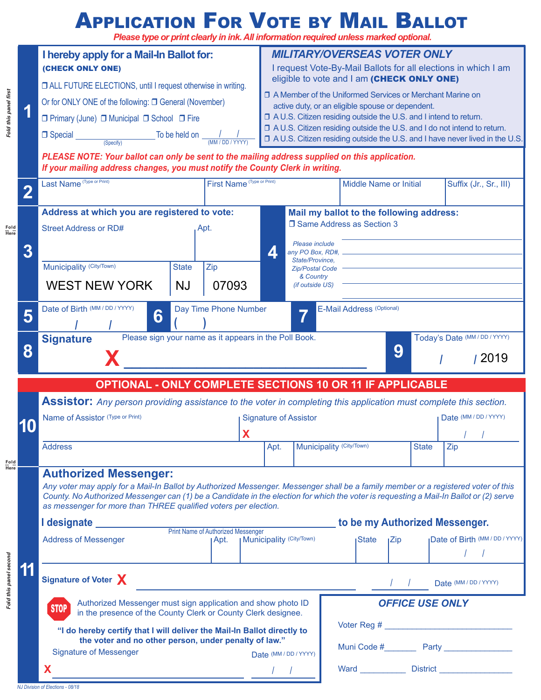## **Application For Vote by Mail Ballot**

*Please type or print clearly in ink. All information required unless marked optional.*

|                        |                                                                                                                                                                                             | I hereby apply for a Mail-In Ballot for:<br>(CHECK ONLY ONE)                                                                                                                                                                                                                     |           |       |                                    | <b>MILITARY/OVERSEAS VOTER ONLY</b><br>I request Vote-By-Mail Ballots for all elections in which I am          |                                     |                                          |     |  |                                                                           |  |  |
|------------------------|---------------------------------------------------------------------------------------------------------------------------------------------------------------------------------------------|----------------------------------------------------------------------------------------------------------------------------------------------------------------------------------------------------------------------------------------------------------------------------------|-----------|-------|------------------------------------|----------------------------------------------------------------------------------------------------------------|-------------------------------------|------------------------------------------|-----|--|---------------------------------------------------------------------------|--|--|
|                        |                                                                                                                                                                                             |                                                                                                                                                                                                                                                                                  |           |       |                                    |                                                                                                                |                                     |                                          |     |  |                                                                           |  |  |
|                        |                                                                                                                                                                                             | □ ALL FUTURE ELECTIONS, until I request otherwise in writing.                                                                                                                                                                                                                    |           |       |                                    | eligible to vote and I am (CHECK ONLY ONE)                                                                     |                                     |                                          |     |  |                                                                           |  |  |
| Fold this panel first  |                                                                                                                                                                                             | Or for ONLY ONE of the following: □ General (November)                                                                                                                                                                                                                           |           |       |                                    | □ A Member of the Uniformed Services or Merchant Marine on<br>active duty, or an eligible spouse or dependent. |                                     |                                          |     |  |                                                                           |  |  |
|                        |                                                                                                                                                                                             | □ Primary (June) □ Municipal □ School □ Fire                                                                                                                                                                                                                                     |           |       |                                    | □ A U.S. Citizen residing outside the U.S. and I intend to return.                                             |                                     |                                          |     |  |                                                                           |  |  |
|                        |                                                                                                                                                                                             | $\Box$ Special                                                                                                                                                                                                                                                                   |           |       |                                    |                                                                                                                |                                     |                                          |     |  | □ A U.S. Citizen residing outside the U.S. and I do not intend to return. |  |  |
|                        | $\frac{1}{\frac{1}{\text{Specify}}}$ To be held on $\frac{1}{\text{MM} \cdot \text{DD} \cdot \text{YYYY}}$<br>□ A U.S. Citizen residing outside the U.S. and I have never lived in the U.S. |                                                                                                                                                                                                                                                                                  |           |       |                                    |                                                                                                                |                                     |                                          |     |  |                                                                           |  |  |
|                        |                                                                                                                                                                                             | PLEASE NOTE: Your ballot can only be sent to the mailing address supplied on this application.<br>If your mailing address changes, you must notify the County Clerk in writing.                                                                                                  |           |       |                                    |                                                                                                                |                                     |                                          |     |  |                                                                           |  |  |
|                        |                                                                                                                                                                                             | Last Name (Type or Print)                                                                                                                                                                                                                                                        |           |       | First Name (Type or Print)         |                                                                                                                |                                     | <b>Middle Name or Initial</b>            |     |  | Suffix (Jr., Sr., III)                                                    |  |  |
| Fold<br>Here           | $\overline{\mathbf{2}}$                                                                                                                                                                     |                                                                                                                                                                                                                                                                                  |           |       |                                    |                                                                                                                |                                     |                                          |     |  |                                                                           |  |  |
|                        |                                                                                                                                                                                             | Address at which you are registered to vote:                                                                                                                                                                                                                                     |           |       |                                    |                                                                                                                |                                     | Mail my ballot to the following address: |     |  |                                                                           |  |  |
|                        |                                                                                                                                                                                             | <b>Street Address or RD#</b><br>Apt.                                                                                                                                                                                                                                             |           |       |                                    | □ Same Address as Section 3                                                                                    |                                     |                                          |     |  |                                                                           |  |  |
|                        |                                                                                                                                                                                             |                                                                                                                                                                                                                                                                                  |           |       |                                    |                                                                                                                | Please include                      |                                          |     |  |                                                                           |  |  |
|                        | 3                                                                                                                                                                                           |                                                                                                                                                                                                                                                                                  |           |       |                                    | $\blacktriangle$                                                                                               | any PO Box, RD#,<br>State/Province, |                                          |     |  |                                                                           |  |  |
|                        |                                                                                                                                                                                             | Municipality (City/Town)<br>Zip<br><b>State</b>                                                                                                                                                                                                                                  |           |       |                                    | <b>Zip/Postal Code</b><br>& Country                                                                            |                                     |                                          |     |  |                                                                           |  |  |
|                        |                                                                                                                                                                                             | <b>WEST NEW YORK</b>                                                                                                                                                                                                                                                             | <b>NJ</b> | 07093 |                                    |                                                                                                                | (if outside US)                     |                                          |     |  |                                                                           |  |  |
|                        |                                                                                                                                                                                             | Day Time Phone Number<br>Date of Birth (MM / DD / YYYY)                                                                                                                                                                                                                          |           |       |                                    |                                                                                                                |                                     | E-Mail Address (Optional)                |     |  |                                                                           |  |  |
|                        | 5                                                                                                                                                                                           | 6                                                                                                                                                                                                                                                                                |           |       |                                    |                                                                                                                | $\overline{\phantom{a}}$            |                                          |     |  |                                                                           |  |  |
|                        |                                                                                                                                                                                             | Please sign your name as it appears in the Poll Book.<br><b>Signature</b>                                                                                                                                                                                                        |           |       |                                    |                                                                                                                |                                     |                                          |     |  | Today's Date (MM / DD / YYYY)                                             |  |  |
|                        | 8                                                                                                                                                                                           | 9<br>/ 2019                                                                                                                                                                                                                                                                      |           |       |                                    |                                                                                                                |                                     |                                          |     |  |                                                                           |  |  |
|                        |                                                                                                                                                                                             |                                                                                                                                                                                                                                                                                  |           |       |                                    |                                                                                                                |                                     |                                          |     |  |                                                                           |  |  |
|                        |                                                                                                                                                                                             | <b>OPTIONAL - ONLY COMPLETE SECTIONS 10 OR 11 IF APPLICABLE</b>                                                                                                                                                                                                                  |           |       |                                    |                                                                                                                |                                     |                                          |     |  |                                                                           |  |  |
|                        |                                                                                                                                                                                             | Assistor: Any person providing assistance to the voter in completing this application must complete this section.                                                                                                                                                                |           |       |                                    |                                                                                                                |                                     |                                          |     |  |                                                                           |  |  |
|                        |                                                                                                                                                                                             | Name of Assistor (Type or Print)<br><b>Address</b>                                                                                                                                                                                                                               |           |       | <b>Signature of Assistor</b><br>X  |                                                                                                                |                                     |                                          |     |  | Date (MM / DD / YYYY)                                                     |  |  |
|                        |                                                                                                                                                                                             |                                                                                                                                                                                                                                                                                  |           |       |                                    |                                                                                                                |                                     |                                          |     |  |                                                                           |  |  |
|                        |                                                                                                                                                                                             |                                                                                                                                                                                                                                                                                  |           |       | Fold<br>$\overline{\mathsf{Here}}$ |                                                                                                                |                                     |                                          |     |  |                                                                           |  |  |
|                        |                                                                                                                                                                                             | <b>Authorized Messenger:</b>                                                                                                                                                                                                                                                     |           |       |                                    |                                                                                                                |                                     |                                          |     |  |                                                                           |  |  |
|                        |                                                                                                                                                                                             | Any voter may apply for a Mail-In Ballot by Authorized Messenger. Messenger shall be a family member or a registered voter of this<br>County. No Authorized Messenger can (1) be a Candidate in the election for which the voter is requesting a Mail-In Ballot or (2) serve     |           |       |                                    |                                                                                                                |                                     |                                          |     |  |                                                                           |  |  |
|                        |                                                                                                                                                                                             | as messenger for more than THREE qualified voters per election.                                                                                                                                                                                                                  |           |       |                                    |                                                                                                                |                                     |                                          |     |  |                                                                           |  |  |
|                        |                                                                                                                                                                                             | <b>Print Name of Authorized Messenger</b>                                                                                                                                                                                                                                        |           |       |                                    | to be my Authorized Messenger.                                                                                 |                                     |                                          |     |  |                                                                           |  |  |
| Fold this panel second |                                                                                                                                                                                             | <b>Address of Messenger</b><br>∣Apt.                                                                                                                                                                                                                                             |           |       |                                    | <b>Municipality (City/Town)</b>                                                                                |                                     | <b>State</b>                             | Zip |  | Date of Birth (MM / DD / YYYY)                                            |  |  |
|                        |                                                                                                                                                                                             |                                                                                                                                                                                                                                                                                  |           |       |                                    |                                                                                                                |                                     |                                          |     |  |                                                                           |  |  |
|                        |                                                                                                                                                                                             | Signature of Voter X                                                                                                                                                                                                                                                             |           |       |                                    |                                                                                                                |                                     |                                          |     |  |                                                                           |  |  |
|                        |                                                                                                                                                                                             |                                                                                                                                                                                                                                                                                  |           |       |                                    |                                                                                                                |                                     | Date (MM / DD / YYYY)                    |     |  |                                                                           |  |  |
|                        |                                                                                                                                                                                             | Authorized Messenger must sign application and show photo ID<br><b>STOP</b><br>in the presence of the County Clerk or County Clerk designee.<br>"I do hereby certify that I will deliver the Mail-In Ballot directly to<br>the voter and no other person, under penalty of law." |           |       |                                    |                                                                                                                |                                     | <b>OFFICE USE ONLY</b>                   |     |  |                                                                           |  |  |
|                        |                                                                                                                                                                                             |                                                                                                                                                                                                                                                                                  |           |       |                                    |                                                                                                                |                                     |                                          |     |  |                                                                           |  |  |
|                        |                                                                                                                                                                                             |                                                                                                                                                                                                                                                                                  |           |       |                                    |                                                                                                                |                                     |                                          |     |  |                                                                           |  |  |
|                        |                                                                                                                                                                                             |                                                                                                                                                                                                                                                                                  |           |       |                                    |                                                                                                                |                                     |                                          |     |  |                                                                           |  |  |
|                        |                                                                                                                                                                                             | <b>Signature of Messenger</b>                                                                                                                                                                                                                                                    |           |       |                                    | Date (MM / DD / YYYY)                                                                                          |                                     |                                          |     |  | Muni Code # Party                                                         |  |  |
|                        |                                                                                                                                                                                             | X                                                                                                                                                                                                                                                                                |           |       |                                    |                                                                                                                |                                     |                                          |     |  |                                                                           |  |  |

**Fold Here**

**Fold Here**